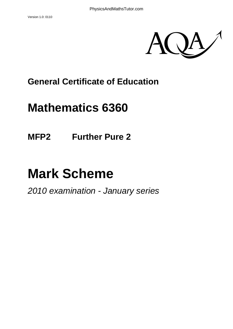

### **General Certificate of Education**

## **Mathematics 6360**

**MFP2 Further Pure 2** 

# **Mark Scheme**

*2010 examination - January series*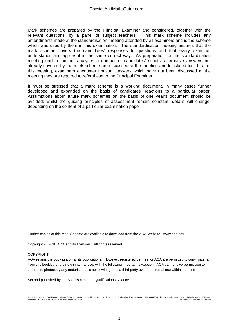Mark schemes are prepared by the Principal Examiner and considered, together with the relevant questions, by a panel of subject teachers. This mark scheme includes any amendments made at the standardisation meeting attended by all examiners and is the scheme which was used by them in this examination. The standardisation meeting ensures that the mark scheme covers the candidates' responses to questions and that every examiner understands and applies it in the same correct way. As preparation for the standardisation meeting each examiner analyses a number of candidates' scripts: alternative answers not already covered by the mark scheme are discussed at the meeting and legislated for. If, after this meeting, examiners encounter unusual answers which have not been discussed at the meeting they are required to refer these to the Principal Examiner.

It must be stressed that a mark scheme is a working document, in many cases further developed and expanded on the basis of candidates' reactions to a particular paper. Assumptions about future mark schemes on the basis of one year's document should be avoided; whilst the guiding principles of assessment remain constant, details will change, depending on the content of a particular examination paper.

Further copies of this Mark Scheme are available to download from the AQA Website: www.aqa.org.uk

Copyright © 2010 AQA and its licensors. All rights reserved.

#### COPYRIGHT

AQA retains the copyright on all its publications. However, registered centres for AQA are permitted to copy material from this booklet for their own internal use, with the following important exception: AQA cannot give permission to centres to photocopy any material that is acknowledged to a third party even for internal use within the centre.

Set and published by the Assessment and Qualifications Alliance.

The Assessment and Qualifications Alliance (AQA) is a company limited by guarantee registered in England and Wales (company number 3644723) and a registered charity (registered charity number 1073334).<br>Registered address: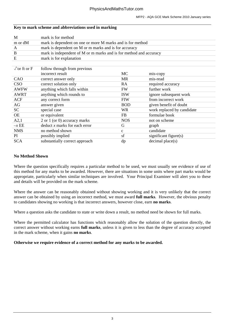#### **Key to mark scheme and abbreviations used in marking**

| M                          | mark is for method                                                 |              |                            |  |  |
|----------------------------|--------------------------------------------------------------------|--------------|----------------------------|--|--|
| m or dM                    | mark is dependent on one or more M marks and is for method         |              |                            |  |  |
| A                          | mark is dependent on M or m marks and is for accuracy              |              |                            |  |  |
| B                          | mark is independent of M or m marks and is for method and accuracy |              |                            |  |  |
| E                          | mark is for explanation                                            |              |                            |  |  |
|                            |                                                                    |              |                            |  |  |
| $\sqrt{\text{or ft or F}}$ | follow through from previous                                       |              |                            |  |  |
|                            | incorrect result                                                   | MC           | mis-copy                   |  |  |
| CAO                        | correct answer only                                                | <b>MR</b>    | mis-read                   |  |  |
| <b>CSO</b>                 | correct solution only                                              | RA           | required accuracy          |  |  |
| <b>AWFW</b>                | anything which falls within                                        | <b>FW</b>    | further work               |  |  |
| <b>AWRT</b>                | anything which rounds to                                           | <b>ISW</b>   | ignore subsequent work     |  |  |
| <b>ACF</b>                 | any correct form                                                   | <b>FIW</b>   | from incorrect work        |  |  |
| AG                         | answer given                                                       | <b>BOD</b>   | given benefit of doubt     |  |  |
| <b>SC</b>                  | special case                                                       | <b>WR</b>    | work replaced by candidate |  |  |
| <b>OE</b>                  | or equivalent                                                      | <b>FB</b>    | formulae book              |  |  |
| A2,1                       | 2 or 1 (or 0) accuracy marks                                       | <b>NOS</b>   | not on scheme              |  |  |
| $-xEE$                     | deduct x marks for each error                                      | G            | graph                      |  |  |
| <b>NMS</b>                 | no method shown                                                    | $\mathbf{C}$ | candidate                  |  |  |
| PI.                        | possibly implied                                                   | sf           | significant figure(s)      |  |  |
| <b>SCA</b>                 | substantially correct approach                                     | dp           | decimal place(s)           |  |  |

#### **No Method Shown**

Where the question specifically requires a particular method to be used, we must usually see evidence of use of this method for any marks to be awarded. However, there are situations in some units where part marks would be appropriate, particularly when similar techniques are involved. Your Principal Examiner will alert you to these and details will be provided on the mark scheme.

Where the answer can be reasonably obtained without showing working and it is very unlikely that the correct answer can be obtained by using an incorrect method, we must award **full marks**. However, the obvious penalty to candidates showing no working is that incorrect answers, however close, earn **no marks**.

Where a question asks the candidate to state or write down a result, no method need be shown for full marks.

Where the permitted calculator has functions which reasonably allow the solution of the question directly, the correct answer without working earns **full marks**, unless it is given to less than the degree of accuracy accepted in the mark scheme, when it gains **no marks**.

**Otherwise we require evidence of a correct method for any marks to be awarded.**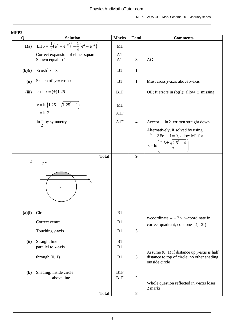| MFFZ<br>$\mathbf 0$ | <b>Solution</b>                                                     | <b>Marks</b>           | <b>Total</b>     | <b>Comments</b>                                                                                                            |
|---------------------|---------------------------------------------------------------------|------------------------|------------------|----------------------------------------------------------------------------------------------------------------------------|
| 1(a)                | LHS = $\frac{1}{4} (e^x + e^{-x})^2 - \frac{1}{4} (e^x - e^{-x})^2$ | M1                     |                  |                                                                                                                            |
|                     | Correct expansion of either square<br>Shown equal to 1              | A1<br>A1               | 3                | AG                                                                                                                         |
| (b)(i)              | $8\cosh^2 x - 3$                                                    | B1                     | $\mathbf{1}$     |                                                                                                                            |
| (ii)                | Sketch of $y = \cosh x$                                             | B1                     | $\mathbf{1}$     | Must cross y-axis above $x$ -axis                                                                                          |
| (iii)               | $\cosh x = (\pm) 1.25$                                              | B1F                    |                  | OE; ft errors in (b)(i); allow $\pm$ missing                                                                               |
|                     | $x = \ln\left(1.25 + \sqrt{1.25^2 - 1}\right)$                      | M1                     |                  |                                                                                                                            |
|                     | $=$ ln 2                                                            | A1F                    |                  |                                                                                                                            |
|                     | $\ln \frac{1}{2}$ by symmetry                                       | A1F                    | $\overline{4}$   | Accept $-\ln 2$ written straight down                                                                                      |
|                     |                                                                     |                        |                  | Alternatively, if solved by using<br>$e^{2x} - 2.5e^{x} + 1 = 0$ , allow M1 for<br>$2.5 \pm \sqrt{2.5^2 - 4}$<br>$x = \ln$ |
|                     | <b>Total</b>                                                        |                        | 9                |                                                                                                                            |
| $\overline{2}$      | $\mathcal{Y}$ <sup><math>\uparrow</math></sup><br>$\boldsymbol{x}$  |                        |                  |                                                                                                                            |
| (a)(i)              | Circle                                                              | B1                     |                  |                                                                                                                            |
|                     | Correct centre                                                      | B1                     |                  | <i>x</i> -coordinate $\approx$ -2 $\times$ <i>y</i> -coordinate in<br>correct quadrant; condone $(4, -2i)$                 |
|                     | Touching y-axis                                                     | B1                     | $\mathfrak{Z}$   |                                                                                                                            |
| (ii)                | Straight line<br>parallel to $x$ -axis                              | B1<br>B1               |                  |                                                                                                                            |
|                     | through $(0, 1)$                                                    | B1                     | $\mathfrak{Z}$   | Assume $(0, 1)$ if distance up y-axis is half<br>distance to top of circle; no other shading<br>outside circle             |
| (b)                 | Shading: inside circle<br>above line                                | B1F<br>B <sub>1F</sub> | $\overline{2}$   | Whole question reflected in $x$ -axis loses<br>2 marks                                                                     |
|                     | <b>Total</b>                                                        |                        | $\boldsymbol{8}$ |                                                                                                                            |
|                     |                                                                     |                        |                  |                                                                                                                            |

#### **MFP2**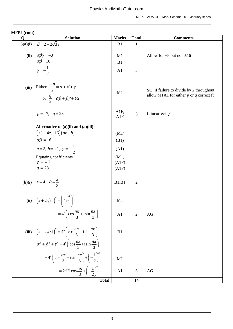| $\sqrt{2}$<br>$\mathbf Q$ | <b>Solution</b>                                                                                            | <b>Marks</b>   | <b>Total</b>   | <b>Comments</b>                                                                         |
|---------------------------|------------------------------------------------------------------------------------------------------------|----------------|----------------|-----------------------------------------------------------------------------------------|
| 3(a)(i)                   | $\beta = 2 - 2\sqrt{3}i$                                                                                   | B <sub>1</sub> | $\mathbf{1}$   |                                                                                         |
|                           |                                                                                                            |                |                |                                                                                         |
| (ii)                      |                                                                                                            | M1             |                | Allow for $+8$ but not $\pm 16$                                                         |
|                           | $\alpha\beta\gamma = -8$<br>$\alpha\beta = 16$<br>$\gamma = -\frac{1}{2}$                                  | B1             |                |                                                                                         |
|                           |                                                                                                            | A1             | 3              |                                                                                         |
|                           |                                                                                                            |                |                |                                                                                         |
| (iii)                     | Either $\frac{-p}{2} = \alpha + \beta + \gamma$                                                            |                |                |                                                                                         |
|                           |                                                                                                            | M1             |                | SC if failure to divide by 2 throughout,<br>allow M1A1 for either $p$ or $q$ correct ft |
|                           | or $\frac{q}{2} = \alpha \beta + \beta \gamma + \gamma \alpha$                                             |                |                |                                                                                         |
|                           |                                                                                                            |                |                |                                                                                         |
|                           | $p = -7$ , $q = 28$                                                                                        | A1F,<br>A1F    | 3              | ft incorrect $\gamma$                                                                   |
|                           |                                                                                                            |                |                |                                                                                         |
|                           | Alternative to $(a)(ii)$ and $(a)(iii)$ :<br>$(z^2 - 4z + 16)(az + b)$                                     |                |                |                                                                                         |
|                           | $\alpha\beta = 16$                                                                                         | (M1)           |                |                                                                                         |
|                           |                                                                                                            | (B1)           |                |                                                                                         |
|                           | $a=2, b=+1, \gamma=-\frac{1}{2}$                                                                           | (A1)           |                |                                                                                         |
|                           | Equating coefficients                                                                                      | (M1)           |                |                                                                                         |
|                           | $p = -7$<br>$q = 28$                                                                                       | (A1F)<br>(A1F) |                |                                                                                         |
|                           |                                                                                                            |                |                |                                                                                         |
|                           | <b>(b)(i)</b> $r = 4$ , $\theta = \frac{\pi}{3}$                                                           | B1,B1          | $\overline{2}$ |                                                                                         |
|                           |                                                                                                            |                |                |                                                                                         |
|                           |                                                                                                            |                |                |                                                                                         |
|                           | (ii) $(2+2\sqrt{3}i)^n = (4e^{\frac{\pi i}{3}})^n$                                                         | M1             |                |                                                                                         |
|                           |                                                                                                            |                |                |                                                                                         |
|                           | $=4^{n}\left(\cos\frac{n\pi}{3}+\mathrm{i}\sin\frac{n\pi}{3}\right)$                                       | A <sub>1</sub> | 2              | AG                                                                                      |
|                           |                                                                                                            |                |                |                                                                                         |
|                           | (iii) $\left[ (2 - 2\sqrt{3}i)^n = 4^n \left( \cos \frac{n\pi}{3} - i \sin \frac{n\pi}{3} \right) \right]$ | B1             |                |                                                                                         |
|                           |                                                                                                            |                |                |                                                                                         |
|                           | $\alpha^{n} + \beta^{n} + \gamma^{n} = 4^{n} \left( \cos \frac{n\pi}{3} + i \sin \frac{n\pi}{3} \right)$   |                |                |                                                                                         |
|                           |                                                                                                            |                |                |                                                                                         |
|                           | +4 <sup>n</sup> $\left(\cos \frac{n\pi}{3} - i \sin \frac{n\pi}{3}\right) + \left(-\frac{1}{2}\right)^n$   | M1             |                |                                                                                         |
|                           |                                                                                                            |                |                |                                                                                         |
|                           | $=2^{2n+1}\cos{\frac{n\pi}{3}}+\left(-\frac{1}{2}\right)^n$                                                | A <sub>1</sub> | 3              | AG                                                                                      |
|                           | <b>Total</b>                                                                                               |                | 14             |                                                                                         |

| MFP2 (cont) |  |
|-------------|--|
|             |  |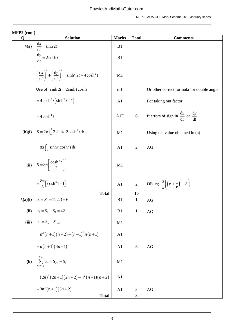| $1$ , $1 + 2$ (come)<br>Q | <b>Solution</b>                                                                                   | <b>Marks</b>   | <b>Total</b>   | <b>Comments</b>                                                           |
|---------------------------|---------------------------------------------------------------------------------------------------|----------------|----------------|---------------------------------------------------------------------------|
| 4(a)                      | $\frac{\mathrm{d}x}{\mathrm{d}t} = \sinh 2t$                                                      | B1             |                |                                                                           |
|                           | $\frac{dy}{dt} = 2\cosh t$                                                                        | B1             |                |                                                                           |
|                           | $\left(\frac{dx}{dt}\right)^2 + \left(\frac{dy}{dt}\right)^2 = \sinh^2 2t + 4\cosh^2 t$           | M1             |                |                                                                           |
|                           | Use of $\sinh 2t = 2 \sinh t \cosh t$                                                             | m1             |                | Or other correct formula for double angle                                 |
|                           | $=4\cosh^2 t \left(\sinh^2 t +1\right)$                                                           | A1             |                | For taking out factor                                                     |
|                           | $=4\cosh^4 t$                                                                                     | A1F            | 6              | ft errors of sign in $\frac{dx}{dt}$ or $\frac{dy}{dt}$                   |
| (b)(i)                    |                                                                                                   | M1             |                | Using the value obtained in (a)                                           |
|                           | $S = 2\pi \int_0^1 2\sinh t \cdot 2\cosh^2 t dt$<br>= $8\pi \int_0^1 \sinh t \cdot \cosh^2 t dt$  | A1             | $\overline{2}$ | AG                                                                        |
| (ii)                      | $S = 8\pi \left[\frac{\cosh^3 t}{3}\right]_0^1$                                                   | M1             |                |                                                                           |
|                           | $=\frac{8\pi}{3}$ [cosh <sup>3</sup> 1-1]                                                         | A <sub>1</sub> | $\overline{2}$ | OE eg $\frac{\pi}{3} \left( \left( e + \frac{1}{e} \right)^3 - 8 \right)$ |
|                           | <b>Total</b>                                                                                      |                | 10             |                                                                           |
|                           | 5(a)(i) $u_1 = S_1 = 1^2.2.3 = 6$                                                                 | B1             | $\mathbf{1}$   | AG                                                                        |
| (ii)                      | $u_2 = S_2 - S_1 = 42$                                                                            | B1             | $\mathbf{1}$   | AG                                                                        |
| (iii)                     | $u_n = S_n - S_{n-1}$                                                                             | M1             |                |                                                                           |
|                           |                                                                                                   | A <sub>1</sub> |                |                                                                           |
|                           |                                                                                                   | A1             | 3              | AG                                                                        |
| (b)                       | = $n^2 (n+1)(n+2) - (n-1)^2 n(n+1)$<br>= $n(n+1)(4n-1)$<br>$\sum_{r=n+1}^{2n} u_r = S_{2n} - S_n$ | M1             |                |                                                                           |
|                           | $=(2n)^{2}(2n+1)(2n+2)-n^{2}(n+1)(n+2)$                                                           | A1             |                |                                                                           |
|                           | $=3n^2(n+1)(5n+2)$                                                                                | A <sub>1</sub> | 3              | AG                                                                        |
|                           | <b>Total</b>                                                                                      |                | 8              |                                                                           |

### **MFP2 (cont)**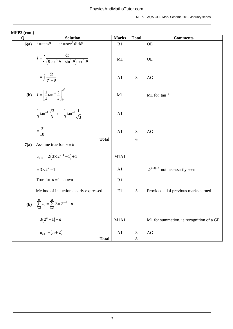| $NITL \neq (C0III)$<br>$\mathbf Q$ | <b>Solution</b>                                                                                            | <b>Marks</b>   | <b>Total</b>   | <b>Comments</b>                          |
|------------------------------------|------------------------------------------------------------------------------------------------------------|----------------|----------------|------------------------------------------|
| 6(a)                               | $dt = \sec^2 \theta d\theta$<br>$t = \tan \theta$                                                          | B1             |                | <b>OE</b>                                |
|                                    | $I = \int \frac{dt}{(9\cos^2\theta + \sin^2\theta)\sec^2\theta}$                                           | M1             |                | <b>OE</b>                                |
|                                    | $= \int \frac{\mathrm{d}t}{t^2 + 9}$                                                                       | A1             | 3              | AG                                       |
|                                    | <b>(b)</b> $I = \left[\frac{1}{3} \tan^{-1} \frac{t}{3}\right]_0^{\sqrt{3}}$                               | M1             |                | $M1$ for tan <sup>-1</sup>               |
|                                    | $rac{1}{3}$ tan <sup>-1</sup> $\frac{\sqrt{3}}{3}$ or $\frac{1}{3}$ tan <sup>-1</sup> $\frac{1}{\sqrt{3}}$ | A <sub>1</sub> |                |                                          |
|                                    | $=\frac{\pi}{18}$                                                                                          | A1             | 3              | AG                                       |
|                                    | <b>Total</b>                                                                                               |                | 6              |                                          |
| 7(a)                               | Assume true for $n = k$                                                                                    |                |                |                                          |
|                                    | $u_{k+1} = 2(3 \times 2^{k-1} - 1) + 1$                                                                    | M1A1           |                |                                          |
|                                    | $=3\times2^{k}-1$                                                                                          | A1             |                | $2^{(k-1)+1}$ not necessarily seen       |
|                                    | True for $n = 1$ shown                                                                                     | B1             |                |                                          |
|                                    | Method of induction clearly expressed                                                                      | E1             | 5              | Provided all 4 previous marks earned     |
|                                    | <b>(b)</b> $\sum_{r=1}^{n} u_r = \sum_{r=1}^{n} 3 \times 2^{r-1} - n$                                      |                |                |                                          |
|                                    | = 3(2 <sup>n</sup> - 1) - n<br>= $u_{n+1}$ - (n+2)                                                         | M1A1           |                | M1 for summation, ie recognition of a GP |
|                                    |                                                                                                            | A1             | $\mathfrak{Z}$ | $\rm{AG}$                                |
|                                    | <b>Total</b>                                                                                               |                | ${\bf 8}$      |                                          |